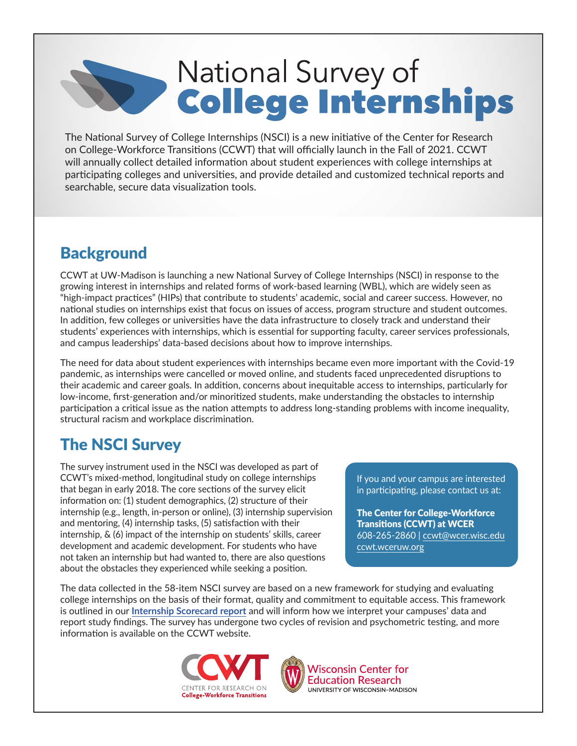# National Survey of<br>College Internships

The National Survey of College Internships (NSCI) is a new initiative of the Center for Research on College-Workforce Transitions (CCWT) that will officially launch in the Fall of 2021. CCWT will annually collect detailed information about student experiences with college internships at participating colleges and universities, and provide detailed and customized technical reports and searchable, secure data visualization tools.

## **Background**

CCWT at UW-Madison is launching a new National Survey of College Internships (NSCI) in response to the growing interest in internships and related forms of work-based learning (WBL), which are widely seen as "high-impact practices" (HIPs) that contribute to students' academic, social and career success. However, no national studies on internships exist that focus on issues of access, program structure and student outcomes. In addition, few colleges or universities have the data infrastructure to closely track and understand their students' experiences with internships, which is essential for supporting faculty, career services professionals, and campus leaderships' data-based decisions about how to improve internships.

The need for data about student experiences with internships became even more important with the Covid-19 pandemic, as internships were cancelled or moved online, and students faced unprecedented disruptions to their academic and career goals. In addition, concerns about inequitable access to internships, particularly for low-income, first-generation and/or minoritized students, make understanding the obstacles to internship participation a critical issue as the nation attempts to address long-standing problems with income inequality, structural racism and workplace discrimination.

## The NSCI Survey

The survey instrument used in the NSCI was developed as part of CCWT's mixed-method, longitudinal study on college internships that began in early 2018. The core sections of the survey elicit information on: (1) student demographics, (2) structure of their internship (e.g., length, in-person or online), (3) internship supervision and mentoring, (4) internship tasks, (5) satisfaction with their internship, & (6) impact of the internship on students' skills, career development and academic development. For students who have not taken an internship but had wanted to, there are also questions about the obstacles they experienced while seeking a position.

If you and your campus are interested in participating, please contact us at:

The Center for College-Workforce Transitions (CCWT) at WCER 608-265-2860 | [ccwt@wcer.wisc.edu](mailto:ccwt%40wcer.wisc.edu?subject=) [ccwt.wceruw.org](http://ccwt.wceruw.org)

The data collected in the 58-item NSCI survey are based on a new framework for studying and evaluating college internships on the basis of their format, quality and commitment to equitable access. This framework is outlined in our **[Internship Scorecard report](http://ccwt.wceruw.org/documents/ccwt_report_The%20Internshihp%20Scorecard.pdf)** and will inform how we interpret your campuses' data and report study findings. The survey has undergone two cycles of revision and psychometric testing, and more information is available on the CCWT website.





**Wisconsin Center for Education Research** UNIVERSITY OF WISCONSIN-MADISON